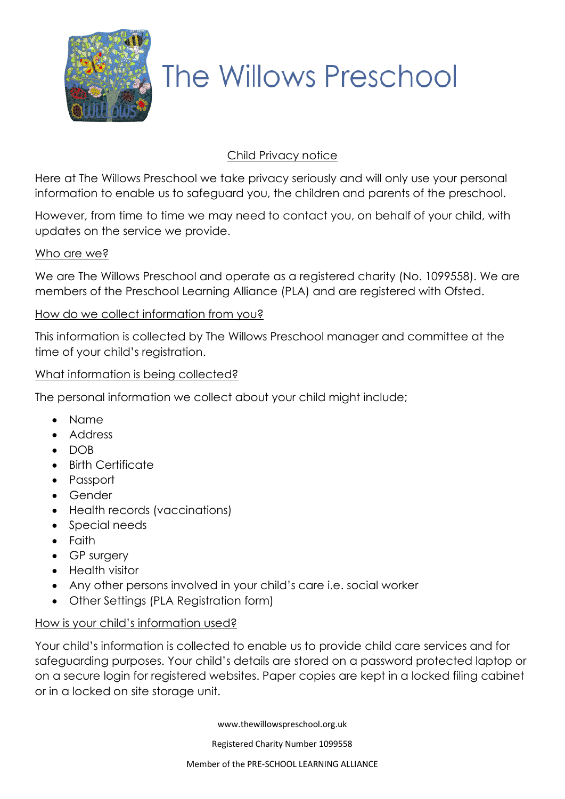

# The Willows Preschool

# Child Privacy notice

Here at The Willows Preschool we take privacy seriously and will only use your personal information to enable us to safeguard you, the children and parents of the preschool.

However, from time to time we may need to contact you, on behalf of your child, with updates on the service we provide.

## Who are we?

We are The Willows Preschool and operate as a registered charity (No. 1099558). We are members of the Preschool Learning Alliance (PLA) and are registered with Ofsted.

## How do we collect information from you?

This information is collected by The Willows Preschool manager and committee at the time of your child's registration.

## What information is being collected?

The personal information we collect about your child might include;

- Name
- Address
- DOB
- Birth Certificate
- Passport
- Gender
- Health records (vaccinations)
- Special needs
- Faith
- GP surgery
- Health visitor
- Any other persons involved in your child's care i.e. social worker
- Other Settings (PLA Registration form)

## How is your child's information used?

Your child's information is collected to enable us to provide child care services and for safeguarding purposes. Your child's details are stored on a password protected laptop or on a secure login for registered websites. Paper copies are kept in a locked filing cabinet or in a locked on site storage unit.

www.thewillowspreschool.org.uk

Registered Charity Number 1099558